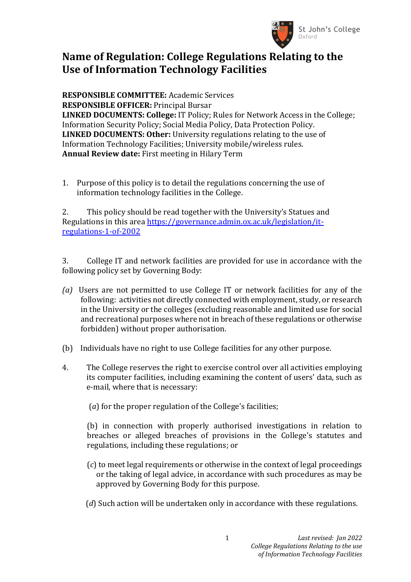

## **Name of Regulation: College Regulations Relating to the Use of Information Technology Facilities**

**RESPONSIBLE COMMITTEE:** Academic Services **RESPONSIBLE OFFICER:** Principal Bursar **LINKED DOCUMENTS: College:** IT Policy; Rules for Network Access in the College; Information Security Policy; Social Media Policy, Data Protection Policy. **LINKED DOCUMENTS: Other:** University regulations relating to the use of Information Technology Facilities; University mobile/wireless rules. **Annual Review date:** First meeting in Hilary Term

1. Purpose of this policy is to detail the regulations concerning the use of information technology facilities in the College.

2. This policy should be read together with the University's Statues and Regulations in this area [https://governance.admin.ox.ac.uk/legislation/it](https://governance.admin.ox.ac.uk/legislation/it-regulations-1-of-2002)[regulations-1-of-2002](https://governance.admin.ox.ac.uk/legislation/it-regulations-1-of-2002)

3. College IT and network facilities are provided for use in accordance with the following policy set by Governing Body:

- *(a)* Users are not permitted to use College IT or network facilities for any of the following: activities not directly connected with employment, study, or research in the University or the colleges (excluding reasonable and limited use for social and recreational purposes where not in breach of these regulations or otherwise forbidden) without proper authorisation.
- (b) Individuals have no right to use College facilities for any other purpose.
- 4. The College reserves the right to exercise control over all activities employing its computer facilities, including examining the content of users' data, such as e-mail, where that is necessary:
	- (*a*) for the proper regulation of the College's facilities;

(b) in connection with properly authorised investigations in relation to breaches or alleged breaches of provisions in the College's statutes and regulations, including these regulations; or

- (*c*) to meet legal requirements or otherwise in the context of legal proceedings or the taking of legal advice, in accordance with such procedures as may be approved by Governing Body for this purpose.
- (*d*) Such action will be undertaken only in accordance with these regulations.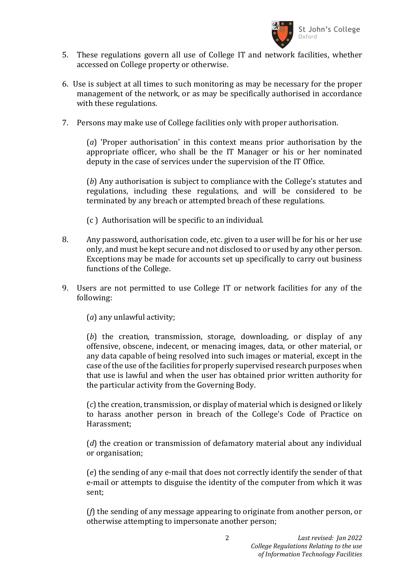

- 5. These regulations govern all use of College IT and network facilities, whether accessed on College property or otherwise.
- 6. Use is subject at all times to such monitoring as may be necessary for the proper management of the network, or as may be specifically authorised in accordance with these regulations.
- 7. Persons may make use of College facilities only with proper authorisation.

(*a*) 'Proper authorisation' in this context means prior authorisation by the appropriate officer, who shall be the IT Manager or his or her nominated deputy in the case of services under the supervision of the IT Office.

(*b*) Any authorisation is subject to compliance with the College's statutes and regulations, including these regulations, and will be considered to be terminated by any breach or attempted breach of these regulations.

- (c ) Authorisation will be specific to an individual.
- 8. Any password, authorisation code, etc. given to a user will be for his or her use only, and must be kept secure and not disclosed to or used by any other person. Exceptions may be made for accounts set up specifically to carry out business functions of the College.
- 9. Users are not permitted to use College IT or network facilities for any of the following:

(*a*) any unlawful activity;

(*b*) the creation, transmission, storage, downloading, or display of any offensive, obscene, indecent, or menacing images, data, or other material, or any data capable of being resolved into such images or material, except in the case of the use of the facilities for properly supervised research purposes when that use is lawful and when the user has obtained prior written authority for the particular activity from the Governing Body.

(*c*) the creation, transmission, or display of material which is designed or likely to harass another person in breach of the College's Code of Practice on Harassment;

(*d*) the creation or transmission of defamatory material about any individual or organisation;

(*e*) the sending of any e-mail that does not correctly identify the sender of that e-mail or attempts to disguise the identity of the computer from which it was sent;

(*f*) the sending of any message appearing to originate from another person, or otherwise attempting to impersonate another person;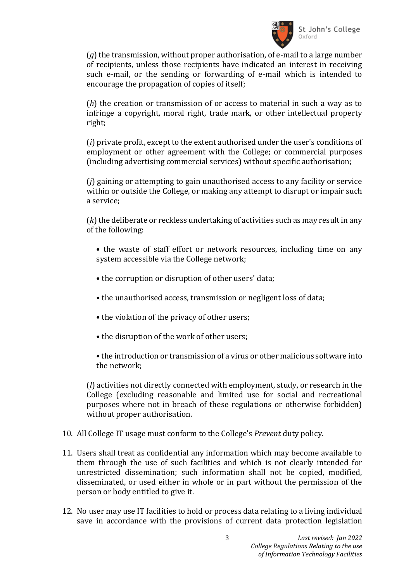

(*g*) the transmission, without proper authorisation, of e-mail to a large number of recipients, unless those recipients have indicated an interest in receiving such e-mail, or the sending or forwarding of e-mail which is intended to encourage the propagation of copies of itself;

(*h*) the creation or transmission of or access to material in such a way as to infringe a copyright, moral right, trade mark, or other intellectual property right;

(*i*) private profit, except to the extent authorised under the user's conditions of employment or other agreement with the College; or commercial purposes (including advertising commercial services) without specific authorisation;

(*j*) gaining or attempting to gain unauthorised access to any facility or service within or outside the College, or making any attempt to disrupt or impair such a service;

(*k*) the deliberate or reckless undertaking of activities such as may result in any of the following:

- the waste of staff effort or network resources, including time on any system accessible via the College network;
- the corruption or disruption of other users' data;
- the unauthorised access, transmission or negligent loss of data;
- the violation of the privacy of other users;
- the disruption of the work of other users;
- the introduction or transmission of a virus or other malicious software into the network;

(*l*) activities not directly connected with employment, study, or research in the College (excluding reasonable and limited use for social and recreational purposes where not in breach of these regulations or otherwise forbidden) without proper authorisation.

- 10. All College IT usage must conform to the College's *Prevent* duty policy.
- 11. Users shall treat as confidential any information which may become available to them through the use of such facilities and which is not clearly intended for unrestricted dissemination; such information shall not be copied, modified, disseminated, or used either in whole or in part without the permission of the person or body entitled to give it.
- 12. No user may use IT facilities to hold or process data relating to a living individual save in accordance with the provisions of current data protection legislation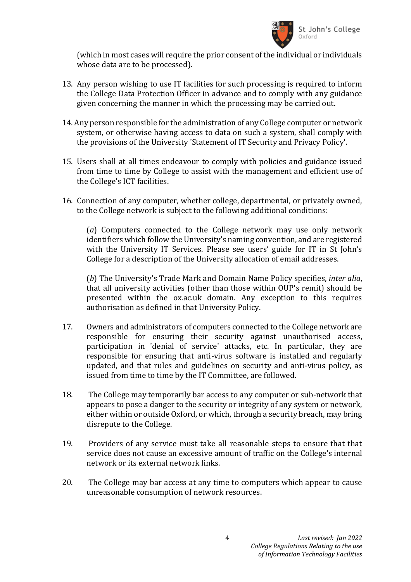

(which in most cases will require the prior consent of the individual or individuals whose data are to be processed).

- 13. Any person wishing to use IT facilities for such processing is required to inform the College Data Protection Officer in advance and to comply with any guidance given concerning the manner in which the processing may be carried out.
- 14. Any person responsible for the administration of any College computer or network system, or otherwise having access to data on such a system, shall comply with the provisions of the University 'Statement of IT Security and Privacy Policy'.
- 15. Users shall at all times endeavour to comply with policies and guidance issued from time to time by College to assist with the management and efficient use of the College's ICT facilities.
- 16. Connection of any computer, whether college, departmental, or privately owned, to the College network is subject to the following additional conditions:

(*a*) Computers connected to the College network may use only network identifiers which follow the University's naming convention, and are registered with the University IT Services. Please see users' guide for IT in St John's College for a description of the University allocation of email addresses.

(*b*) The University's Trade Mark and Domain Name Policy specifies, *inter alia*, that all university activities (other than those within OUP's remit) should be presented within the ox.ac.uk domain. Any exception to this requires authorisation as defined in that University Policy.

- 17. Owners and administrators of computers connected to the College network are responsible for ensuring their security against unauthorised access, participation in 'denial of service' attacks, etc. In particular, they are responsible for ensuring that anti-virus software is installed and regularly updated, and that rules and guidelines on security and anti-virus policy, as issued from time to time by the IT Committee, are followed.
- 18. The College may temporarily bar access to any computer or sub-network that appears to pose a danger to the security or integrity of any system or network, either within or outside Oxford, or which, through a security breach, may bring disrepute to the College.
- 19. Providers of any service must take all reasonable steps to ensure that that service does not cause an excessive amount of traffic on the College's internal network or its external network links.
- 20. The College may bar access at any time to computers which appear to cause unreasonable consumption of network resources.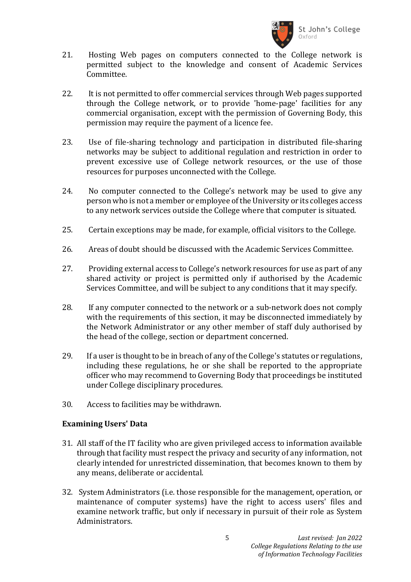

- 21. Hosting Web pages on computers connected to the College network is permitted subject to the knowledge and consent of Academic Services Committee.
- 22. It is not permitted to offer commercial services through Web pages supported through the College network, or to provide 'home-page' facilities for any commercial organisation, except with the permission of Governing Body, this permission may require the payment of a licence fee.
- 23. Use of file-sharing technology and participation in distributed file-sharing networks may be subject to additional regulation and restriction in order to prevent excessive use of College network resources, or the use of those resources for purposes unconnected with the College.
- 24. No computer connected to the College's network may be used to give any person who is not a member or employee of the University or its colleges access to any network services outside the College where that computer is situated.
- 25. Certain exceptions may be made, for example, official visitors to the College.
- 26. Areas of doubt should be discussed with the Academic Services Committee.
- 27. Providing external access to College's network resources for use as part of any shared activity or project is permitted only if authorised by the Academic Services Committee, and will be subject to any conditions that it may specify.
- 28. If any computer connected to the network or a sub-network does not comply with the requirements of this section, it may be disconnected immediately by the Network Administrator or any other member of staff duly authorised by the head of the college, section or department concerned.
- 29. If a user is thought to be in breach of any of the College's statutes or regulations, including these regulations, he or she shall be reported to the appropriate officer who may recommend to Governing Body that proceedings be instituted under College disciplinary procedures.
- 30. Access to facilities may be withdrawn.

## **Examining Users' Data**

- 31. All staff of the IT facility who are given privileged access to information available through that facility must respect the privacy and security of any information, not clearly intended for unrestricted dissemination, that becomes known to them by any means, deliberate or accidental.
- 32. System Administrators (i.e. those responsible for the management, operation, or maintenance of computer systems) have the right to access users' files and examine network traffic, but only if necessary in pursuit of their role as System Administrators.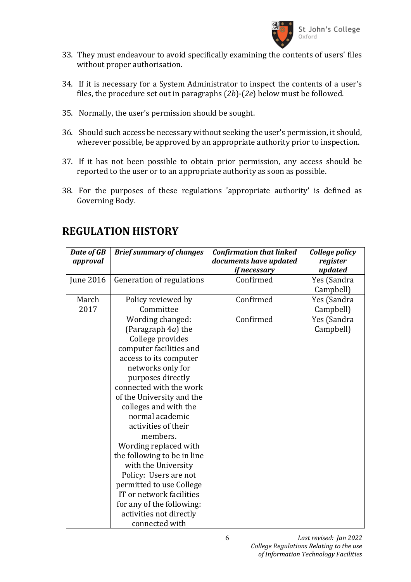

- 33. They must endeavour to avoid specifically examining the contents of users' files without proper authorisation.
- 34. If it is necessary for a System Administrator to inspect the contents of a user's files, the procedure set out in paragraphs (*2b*)-(*2e*) below must be followed.
- 35. Normally, the user's permission should be sought.
- 36. Should such access be necessary without seeking the user's permission, it should, wherever possible, be approved by an appropriate authority prior to inspection.
- 37. If it has not been possible to obtain prior permission, any access should be reported to the user or to an appropriate authority as soon as possible.
- 38. For the purposes of these regulations 'appropriate authority' is defined as Governing Body.

| Date of GB<br>approval | <b>Brief summary of changes</b> | <b>Confirmation that linked</b><br>documents have updated | College policy<br>register |
|------------------------|---------------------------------|-----------------------------------------------------------|----------------------------|
|                        |                                 | if necessary                                              | updated                    |
| <b>June 2016</b>       | Generation of regulations       | Confirmed                                                 | Yes (Sandra                |
|                        |                                 |                                                           | Campbell)                  |
| March                  | Policy reviewed by              | Confirmed                                                 | Yes (Sandra                |
| 2017                   | Committee                       |                                                           | Campbell)                  |
|                        | Wording changed:                | Confirmed                                                 | Yes (Sandra                |
|                        | (Paragraph 4a) the              |                                                           | Campbell)                  |
|                        | College provides                |                                                           |                            |
|                        | computer facilities and         |                                                           |                            |
|                        | access to its computer          |                                                           |                            |
|                        | networks only for               |                                                           |                            |
|                        | purposes directly               |                                                           |                            |
|                        | connected with the work         |                                                           |                            |
|                        | of the University and the       |                                                           |                            |
|                        | colleges and with the           |                                                           |                            |
|                        | normal academic                 |                                                           |                            |
|                        | activities of their             |                                                           |                            |
|                        | members.                        |                                                           |                            |
|                        | Wording replaced with           |                                                           |                            |
|                        | the following to be in line     |                                                           |                            |
|                        | with the University             |                                                           |                            |
|                        | Policy: Users are not           |                                                           |                            |
|                        | permitted to use College        |                                                           |                            |
|                        | IT or network facilities        |                                                           |                            |
|                        | for any of the following:       |                                                           |                            |
|                        | activities not directly         |                                                           |                            |
|                        | connected with                  |                                                           |                            |

## **REGULATION HISTORY**